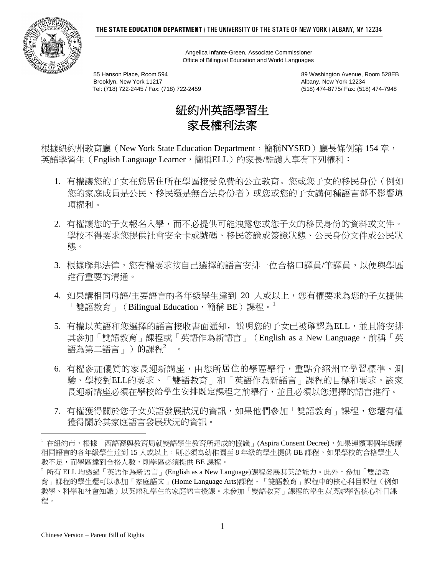

 Angelica Infante-Green, Associate Commissioner Office of Bilingual Education and World Languages

55 Hanson Place, Room 594 89 Washington Avenue, Room 528EB Brooklyn, New York 11217<br>Tel: (718) 722-2445 / Fax: (718) 722-2459 (518) 474-8775/ Fax: (518) 474-7948 Tel: (718) 722-2445 / Fax: (718) 722-2459



根據紐約州教育廳 (New York State Education Department,簡稱NYSED)廳長條例第 154 章, 英語學習生 (English Language Learner,簡稱ELL)的家長/監護人享有下列權利:

- 1. 有權讓您的子女在您居住所在學區接受免費的公立教育。您或您子女的移民身份(例如 您的家庭成員是公民、移民還是無合法身份者)或您或您的子女講何種語言都不影響這 項權利。
- 2. 有權讓您的子女報名入學,而不必提供可能洩露您或您子女的移民身份的資料或文件。 學校不得要求您提供社會安全卡或號碼、移民簽證或簽證狀態、公民身份文件或公民狀 態。
- 3. 根據聯邦法律,您有權要求按自己選擇的語言安排一位合格口譯員/筆譯員,以便與學區 進行重要的溝通。
- 4. 如果講相同母語/主要語言的各年級學生達到 20 人或以上,您有權要求為您的子女提供 「雙語教育」(Bilingual Education,簡稱 BE)課程。<sup>1</sup>
- 5. 有權以英語和您選擇的語言接收書面通知, 説明您的子女已被確認為ELL, 並且將安排 其參加「雙語教育」課程或「英語作為新語言」(English as a New Language, 前稱「英 語為第二語言」)的課程<sup>2</sup>
- 6. 有權參加優質的家長迎新講座,由您所居住的學區舉行,重點介紹州立學習標準、測 驗、學校對ELL的要求、「雙語教育」和「英語作為新語言」課程的目標和要求。該家 長迎新講座必須在學校給學生安排既定課程之前舉行,並且必須以您選擇的語言進行。
- 7. 有權獲得關於您子女英語發展狀況的資訊,如果他們參加「雙語教育」課程,您還有權 獲得關於其家庭語言發展狀況的資訊。

 $\overline{a}$ 

在紐約市,根據「西語裔與教育局就雙語學生教育所達成的協議」(Aspira Consent Decree),如果連續兩個年級講 相同語言的各年級學生達到 15 人或以上,則必須為幼稚園至 8 年級的學生提供 BE 課程。如果學校的合格學生人 數不足,而學區達到合格人數,則學區必須提供 BE 課程。

 $2$  所有 ELL 均透過「英語作為新語言」(English as a New Language)課程發展其英語能力。此外,參加「雙語教 育」課程的學生還可以參加「家庭語文」(Home Language Arts)課程。「雙語教育」課程中的核心科目課程(例如 數學、科學和社會知識)以英語和學生的家庭語言授課。未參加「雙語教育」課程的學生*以英語*學習核心科目課 程。